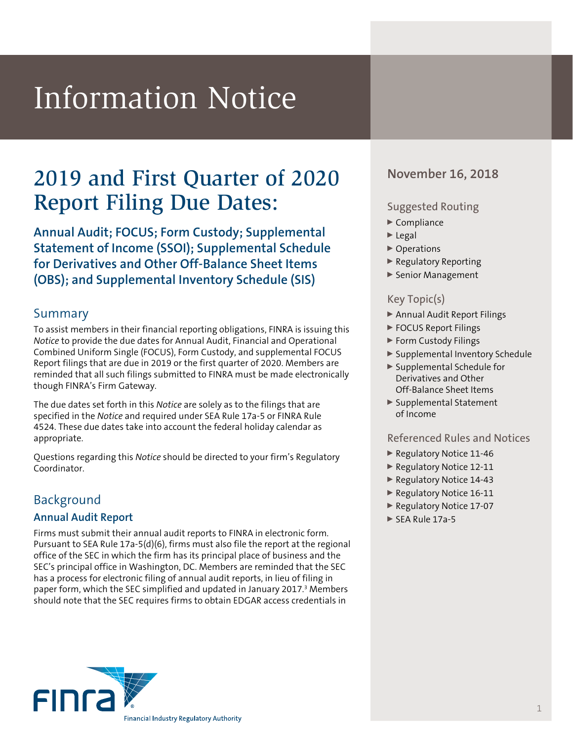# Information Notice

# 2019 and First Quarter of 2020 November 16, 2018 Report Filing Due Dates:

**Annual Audit; FOCUS; Form Custody; Supplemental Statement of Income (SSOI); Supplemental Schedule for Derivatives and Other Off-Balance Sheet Items (OBS); and Supplemental Inventory Schedule (SIS)**

# Summary

To assist members in their financial reporting obligations, FINRA is issuing this *Notice* to provide the due dates for Annual Audit, Financial and Operational Combined Uniform Single (FOCUS), Form Custody, and supplemental FOCUS Report filings that are due in 2019 or the first quarter of 2020. Members are reminded that all such filings submitted to FINRA must be made electronically though FINRA's Firm Gateway.

The due dates set forth in this *Notice* are solely as to the filings that are specified in the *Notice* and required under SEA Rule 17a-5 or FINRA Rule 4524. These due dates take into account the federal holiday calendar as appropriate.

Questions regarding this *Notice* should be directed to your firm's Regulatory Coordinator.

# Background

# **Annual Audit Report**

Firms must submit their annual audit reports to FINRA in electronic form. Pursuant to SEA Rule 17a-5(d)(6), firms must also file the report at the regional office of the SEC in which the firm has its principal place of business and the SEC's principal office in Washington, DC. Members are reminded that the SEC has a process for electronic filing of annual audit reports, in lieu of filing in paper form, which the SEC simplified and updated in January 2017.<sup>3</sup> Members should note that the SEC requires firms to obtain EDGAR access credentials in



# Suggested Routing

- $\blacktriangleright$  Compliance
- $\blacktriangleright$  Legal
- ▶ Operations
- <sup>0</sup> Regulatory Reporting
- ▶ Senior Management

# Key Topic(s)

- ▶ Annual Audit Report Filings
- ▶ FOCUS Report Filings
- ▶ Form Custody Filings
- <sup>0</sup> Supplemental Inventory Schedule
- <sup>0</sup> Supplemental Schedule for Derivatives and Other Off-Balance Sheet Items
- ▶ Supplemental Statement of Income

# Referenced Rules and Notices

- <sup>0</sup> Regulatory Notice 11-46
- Regulatory Notice 12-11
- ▶ Regulatory Notice 14-43
- Regulatory Notice 16-11
- Regulatory Notice 17-07
- ► SEA Rule 17a-5

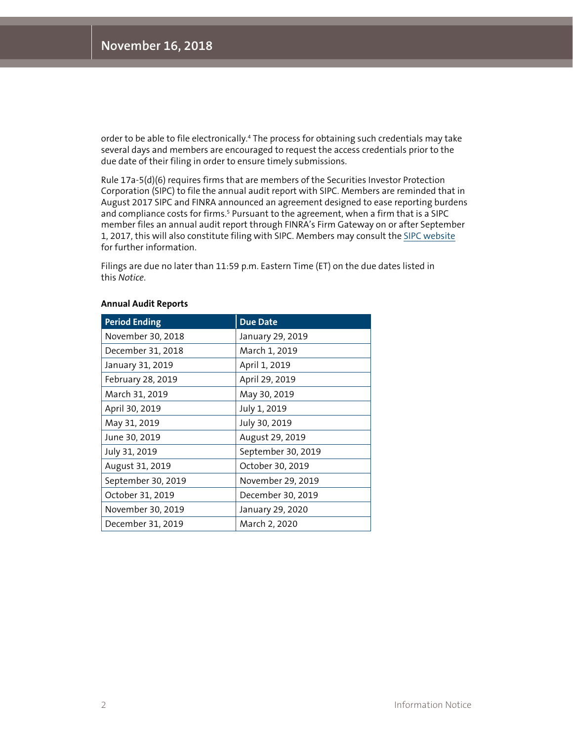order to be able to file electronically.4 The process for obtaining such credentials may take several days and members are encouraged to request the access credentials prior to the due date of their filing in order to ensure timely submissions.

Rule 17a-5(d)(6) requires firms that are members of the Securities Investor Protection Corporation (SIPC) to file the annual audit report with SIPC. Members are reminded that in August 2017 SIPC and FINRA announced an agreement designed to ease reporting burdens and compliance costs for firms.<sup>5</sup> Pursuant to the agreement, when a firm that is a SIPC member files an annual audit report through FINRA's Firm Gateway on or after September 1, 2017, this will also constitute filing with SIPC. Members may consult the [SIPC website](https://www.sipc.org/for-members/annual-reports) for further information.

Filings are due no later than 11:59 p.m. Eastern Time (ET) on the due dates listed in this *Notice*.

| <b>Period Ending</b> | <b>Due Date</b>    |
|----------------------|--------------------|
| November 30, 2018    | January 29, 2019   |
| December 31, 2018    | March 1, 2019      |
| January 31, 2019     | April 1, 2019      |
| February 28, 2019    | April 29, 2019     |
| March 31, 2019       | May 30, 2019       |
| April 30, 2019       | July 1, 2019       |
| May 31, 2019         | July 30, 2019      |
| June 30, 2019        | August 29, 2019    |
| July 31, 2019        | September 30, 2019 |
| August 31, 2019      | October 30, 2019   |
| September 30, 2019   | November 29, 2019  |
| October 31, 2019     | December 30, 2019  |
| November 30, 2019    | January 29, 2020   |
| December 31, 2019    | March 2, 2020      |

#### **Annual Audit Reports**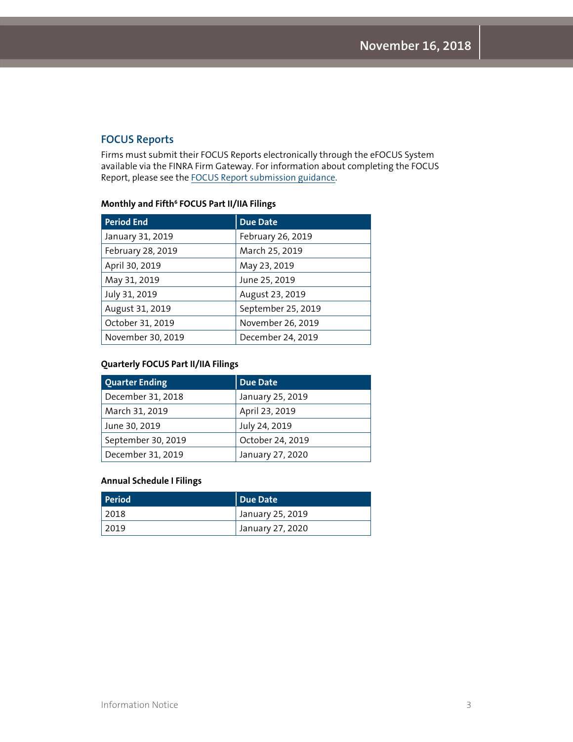# **FOCUS Reports**

Firms must submit their FOCUS Reports electronically through the eFOCUS System available via the FINRA Firm Gateway. For information about completing the FOCUS Report, please see the [FOCUS Report submission guidance](http://www.finra.org/Industry/Compliance/RegulatoryFilings/FOCUS/index.htm).

#### **Monthly and Fifth6 FOCUS Part II/IIA Filings**

| <b>Period End</b> | Due Date           |
|-------------------|--------------------|
| January 31, 2019  | February 26, 2019  |
| February 28, 2019 | March 25, 2019     |
| April 30, 2019    | May 23, 2019       |
| May 31, 2019      | June 25, 2019      |
| July 31, 2019     | August 23, 2019    |
| August 31, 2019   | September 25, 2019 |
| October 31, 2019  | November 26, 2019  |
| November 30, 2019 | December 24, 2019  |

#### **Quarterly FOCUS Part II/IIA Filings**

| <b>Quarter Ending</b> | <b>Due Date</b>  |
|-----------------------|------------------|
| December 31, 2018     | January 25, 2019 |
| March 31, 2019        | April 23, 2019   |
| June 30, 2019         | July 24, 2019    |
| September 30, 2019    | October 24, 2019 |
| December 31, 2019     | January 27, 2020 |

#### **Annual Schedule I Filings**

| Period | Due Date         |
|--------|------------------|
| 2018   | January 25, 2019 |
| 2019   | January 27, 2020 |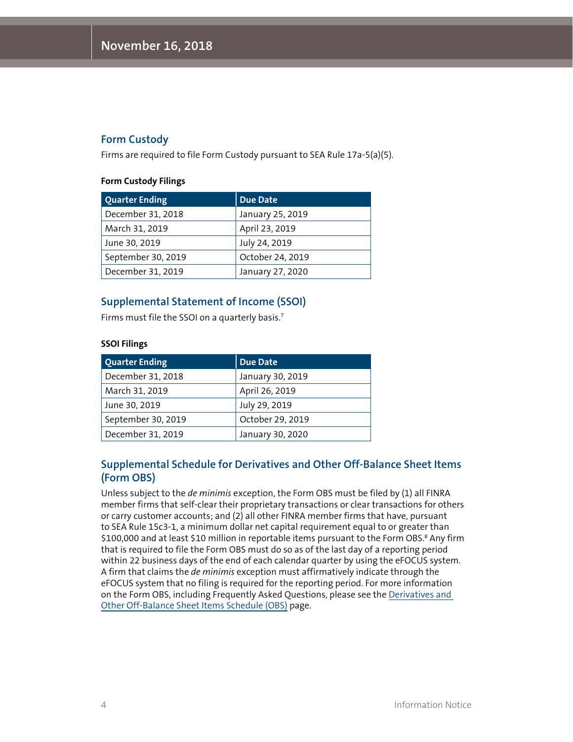# **Form Custody**

Firms are required to file Form Custody pursuant to SEA Rule 17a-5(a)(5).

#### **Form Custody Filings**

| <b>Quarter Ending</b> | <b>Due Date</b>  |
|-----------------------|------------------|
| December 31, 2018     | January 25, 2019 |
| March 31, 2019        | April 23, 2019   |
| June 30, 2019         | July 24, 2019    |
| September 30, 2019    | October 24, 2019 |
| December 31, 2019     | January 27, 2020 |

# **Supplemental Statement of Income (SSOI)**

Firms must file the SSOI on a quarterly basis.7

#### **SSOI Filings**

| <b>Quarter Ending</b> | <b>Due Date</b>  |
|-----------------------|------------------|
| December 31, 2018     | January 30, 2019 |
| March 31, 2019        | April 26, 2019   |
| June 30, 2019         | July 29, 2019    |
| September 30, 2019    | October 29, 2019 |
| December 31, 2019     | January 30, 2020 |

# **Supplemental Schedule for Derivatives and Other Off-Balance Sheet Items (Form OBS)**

Unless subject to the *de minimis* exception, the Form OBS must be filed by (1) all FINRA member firms that self-clear their proprietary transactions or clear transactions for others or carry customer accounts; and (2) all other FINRA member firms that have, pursuant to SEA Rule 15c3-1, a minimum dollar net capital requirement equal to or greater than \$100,000 and at least \$10 million in reportable items pursuant to the Form OBS.<sup>8</sup> Any firm that is required to file the Form OBS must do so as of the last day of a reporting period within 22 business days of the end of each calendar quarter by using the eFOCUS system. A firm that claims the *de minimis* exception must affirmatively indicate through the eFOCUS system that no filing is required for the reporting period. For more information on the Form OBS, including Frequently Asked Questions, please see the [Derivatives and](http://www.finra.org/industry/derivatives-and-other-balance-sheet-items-obs/derivatives-and-other-balance-sheet-items)  [Other Off-Balance Sheet Items Schedule \(OBS\)](http://www.finra.org/industry/derivatives-and-other-balance-sheet-items-obs/derivatives-and-other-balance-sheet-items) page.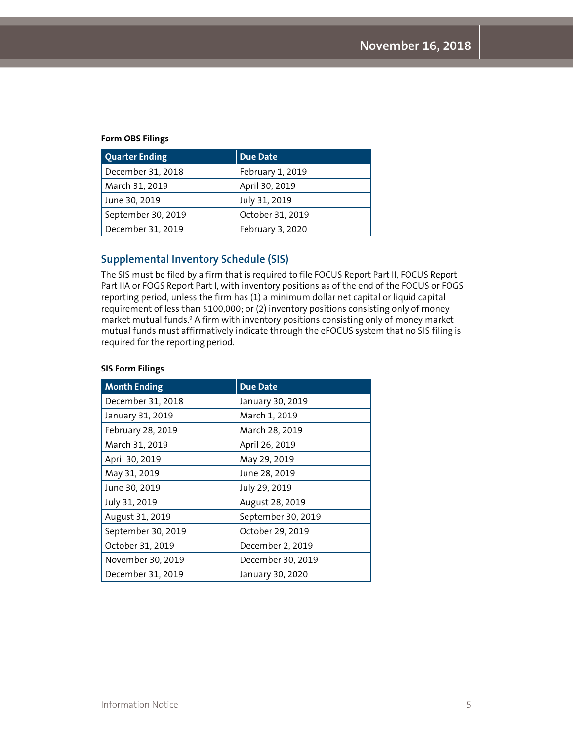#### **Form OBS Filings**

| <b>Quarter Ending</b> | <b>Due Date</b>  |
|-----------------------|------------------|
| December 31, 2018     | February 1, 2019 |
| March 31, 2019        | April 30, 2019   |
| June 30, 2019         | July 31, 2019    |
| September 30, 2019    | October 31, 2019 |
| December 31, 2019     | February 3, 2020 |

# **Supplemental Inventory Schedule (SIS)**

The SIS must be filed by a firm that is required to file FOCUS Report Part II, FOCUS Report Part IIA or FOGS Report Part I, with inventory positions as of the end of the FOCUS or FOGS reporting period, unless the firm has (1) a minimum dollar net capital or liquid capital requirement of less than \$100,000; or (2) inventory positions consisting only of money market mutual funds.9 A firm with inventory positions consisting only of money market mutual funds must affirmatively indicate through the eFOCUS system that no SIS filing is required for the reporting period.

| <b>Month Ending</b> | <b>Due Date</b>    |
|---------------------|--------------------|
| December 31, 2018   | January 30, 2019   |
| January 31, 2019    | March 1, 2019      |
| February 28, 2019   | March 28, 2019     |
| March 31, 2019      | April 26, 2019     |
| April 30, 2019      | May 29, 2019       |
| May 31, 2019        | June 28, 2019      |
| June 30, 2019       | July 29, 2019      |
| July 31, 2019       | August 28, 2019    |
| August 31, 2019     | September 30, 2019 |
| September 30, 2019  | October 29, 2019   |
| October 31, 2019    | December 2, 2019   |
| November 30, 2019   | December 30, 2019  |
| December 31, 2019   | January 30, 2020   |

#### **SIS Form Filings**